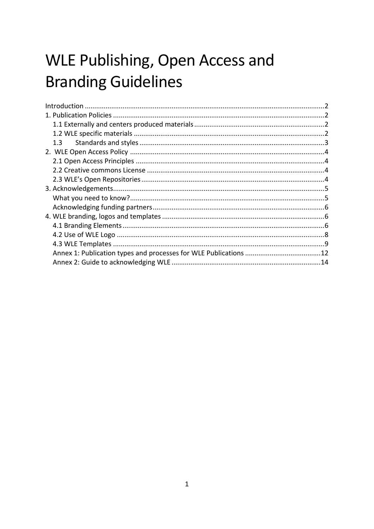# WLE Publishing, Open Access and **Branding Guidelines**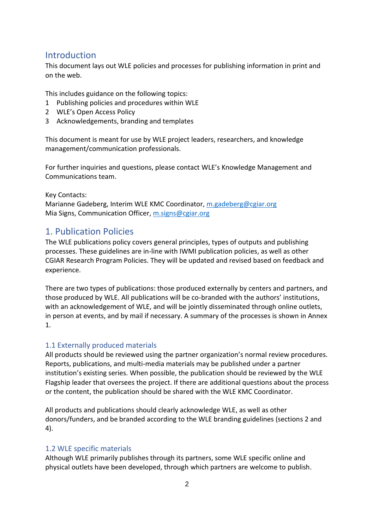# Introduction

This document lays out WLE policies and processes for publishing information in print and on the web.

This includes guidance on the following topics:

- 1 Publishing policies and procedures within WLE
- 2 WLE's Open Access Policy
- 3 Acknowledgements, branding and templates

This document is meant for use by WLE project leaders, researchers, and knowledge management/communication professionals.

For further inquiries and questions, please contact WLE's Knowledge Management and Communications team.

Key Contacts:

Marianne Gadeberg, Interim WLE KMC Coordinator, [m.gadeberg@cgiar.org](mailto:m.gadeberg@cgiar.org) Mia Signs, Communication Officer, [m.signs@cgiar.org](mailto:m.signs@cgiar.org)

# 1. Publication Policies

The WLE publications policy covers general principles, types of outputs and publishing processes. These guidelines are in-line with IWMI publication policies, as well as other CGIAR Research Program Policies. They will be updated and revised based on feedback and experience.

There are two types of publications: those produced externally by centers and partners, and those produced by WLE. All publications will be co-branded with the authors' institutions, with an acknowledgement of WLE, and will be jointly disseminated through online outlets, in person at events, and by mail if necessary. A summary of the processes is shown in Annex 1.

# 1.1 Externally produced materials

All products should be reviewed using the partner organization's normal review procedures. Reports, publications, and multi-media materials may be published under a partner institution's existing series. When possible, the publication should be reviewed by the WLE Flagship leader that oversees the project. If there are additional questions about the process or the content, the publication should be shared with the WLE KMC Coordinator.

All products and publications should clearly acknowledge WLE, as well as other donors/funders, and be branded according to the WLE branding guidelines (sections 2 and 4).

# 1.2 WLE specific materials

Although WLE primarily publishes through its partners, some WLE specific online and physical outlets have been developed, through which partners are welcome to publish.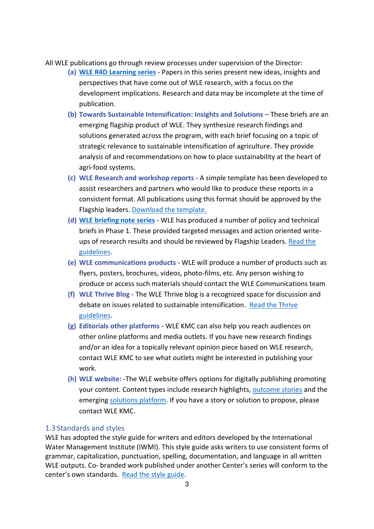All WLE publications go through review processes under supervision of the Director:

- **(a) [WLE R4D Learning series](https://cgspace.cgiar.org/handle/10568/41888) -** Papers in this series present new ideas, insights and perspectives that have come out of WLE research, with a focus on the development implications. Research and data may be incomplete at the time of publication.
- **(b) Towards Sustainable Intensification: Insights and Solutions –** These briefs are an emerging flagship product of WLE. They synthesize research findings and solutions generated across the program, with each brief focusing on a topic of strategic relevance to sustainable intensification of agriculture. They provide analysis of and recommendations on how to place sustainability at the heart of agri-food systems.
- **(c) WLE Research and workshop reports -** A simple template has been developed to assist researchers and partners who would like to produce these reports in a consistent format. All publications using this format should be approved by the Flagship leaders. [Download the template.](https://www.dropbox.com/s/yvk8mf5m863ayb5/WLE%20-%20Report%202017.dotx?dl=0)
- **(d) [WLE briefing note series](https://cgspace.cgiar.org/handle/10568/34751) -** WLE has produced a number of policy and technical briefs in Phase 1. These provided targeted messages and action oriented writeups of research results and should be reviewed by Flagship Leaders. Read the [guidelines.](https://www.dropbox.com/s/6f0zq2sx8y2g7w3/WLEBriefingnote_guidelines_Final.pdf?dl=0)
- **(e) WLE communications products -** WLE will produce a number of products such as flyers, posters, brochures, videos, photo-films, etc. Any person wishing to produce or access such materials should contact the WLE Communications team
- **(f) WLE Thrive Blog -** The WLE Thrive blog is a recognized space for discussion and debate on issues related to sustainable intensification. [Read the Thrive](https://wle.cgiar.org/thrive-guidelines)  [guidelines.](https://wle.cgiar.org/thrive-guidelines)
- **(g) Editorials other platforms -** WLE KMC can also help you reach audiences on other online platforms and media outlets. If you have new research findings and/or an idea for a topically relevant opinion piece based on WLE research, contact WLE KMC to see what outlets might be interested in publishing your work.
- **(h) WLE website: -**The WLE website offers options for digitally publishing promoting your content. Content types include research highlights, [outcome stories](https://wle.cgiar.org/impact/stories-of-change) and the emerging [solutions platform.](https://wle.cgiar.org/solutions) If you have a story or solution to propose, please contact WLE KMC.

#### 1.3Standards and styles

WLE has adopted the style guide for writers and editors developed by the International Water Management Institute (IWMI). This style guide asks writers to use consistent forms of grammar, capitalization, punctuation, spelling, documentation, and language in all written WLE outputs. Co- branded work published under another Center's series will conform to the center's own standards. [Read the style guide.](https://wle.cgiar.org/sites/default/files/documents/IWMI-Style-Guide.pdf)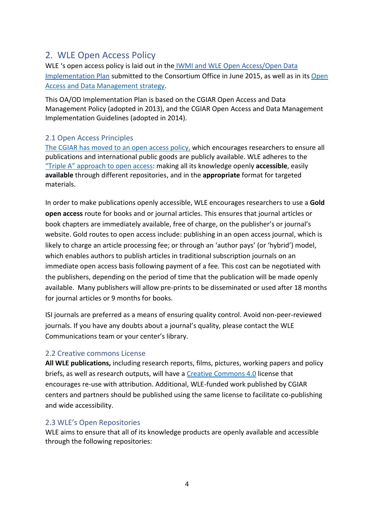# 2. WLE Open Access Policy

WLE 's open access policy is laid out in the [IWMI and WLE Open Access/Open Data](https://www.dropbox.com/s/eptjxuk16c3jk4a/IWMI%20OA%20OD%20implementation%20plan%20160615-Draft.docx?dl=0)  [Implementation Plan](https://www.dropbox.com/s/eptjxuk16c3jk4a/IWMI%20OA%20OD%20implementation%20plan%20160615-Draft.docx?dl=0) submitted to the Consortium Office in June 2015, as well as in its [Open](https://www.dropbox.com/s/nhmtntojfl9pp3b/3.8%20WLE_OAODplanDr_final.pdf?dl=0)  [Access and Data Management strategy.](https://www.dropbox.com/s/nhmtntojfl9pp3b/3.8%20WLE_OAODplanDr_final.pdf?dl=0)

This OA/OD Implementation Plan is based on the CGIAR Open Access and Data Management Policy (adopted in 2013), and the CGIAR Open Access and Data Management Implementation Guidelines (adopted in 2014).

# 2.1 Open Access Principles

[The CGIAR has moved to an open access policy,](http://www.cgiar.org/consortium-news/cgiar-opening-access-moving-from-piecemeal-to-panoramic/) which encourages researchers to ensure all publications and international public goods are publicly available. WLE adheres to the ["Triple A" approach to o](http://ictkm.cgiar.org/what-we-do/triple-a-framework/)pen access: making all its knowledge openly **accessible**, easily **available** through different repositories, and in the **appropriate** format for targeted materials.

In order to make publications openly accessible, WLE encourages researchers to use a **Gold open access** route for books and or journal articles. This ensures that journal articles or book chapters are immediately available, free of charge, on the publisher's or journal's website. Gold routes to open access include: publishing in an open access journal, which is likely to charge an article processing fee; or through an 'author pays' (or 'hybrid') model, which enables authors to publish articles in traditional subscription journals on an immediate open access basis following payment of a fee. This cost can be negotiated with the publishers, depending on the period of time that the publication will be made openly available. Many publishers will allow pre-prints to be disseminated or used after 18 months for journal articles or 9 months for books.

ISI journals are preferred as a means of ensuring quality control. Avoid non-peer-reviewed journals. If you have any doubts about a journal's quality, please contact the WLE Communications team or your center's library.

# 2.2 Creative commons License

**All WLE publications,** including research reports, films, pictures, working papers and policy briefs, as well as research outputs, will have a [Creative Commons](https://creativecommons.org/licenses/by/4.0/) 4.0 license that encourages re-use with attribution. Additional, WLE-funded work published by CGIAR centers and partners should be published using the same license to facilitate co-publishing and wide accessibility.

# 2.3 WLE's Open Repositories

WLE aims to ensure that all of its knowledge products are openly available and accessible through the following repositories: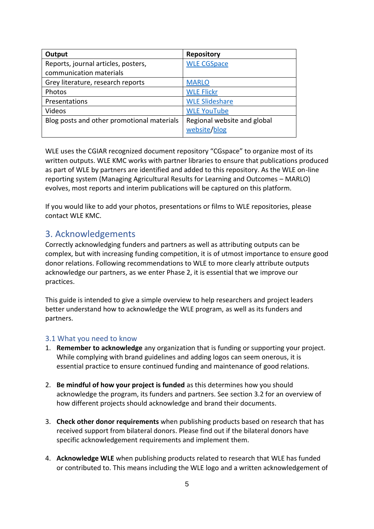| Output                                     | <b>Repository</b>           |
|--------------------------------------------|-----------------------------|
| Reports, journal articles, posters,        | <b>WLE CGSpace</b>          |
| communication materials                    |                             |
| Grey literature, research reports          | <b>MARLO</b>                |
| Photos                                     | <b>WLE Flickr</b>           |
| Presentations                              | <b>WLE Slideshare</b>       |
| Videos                                     | <b>WLE YouTube</b>          |
| Blog posts and other promotional materials | Regional website and global |
|                                            | website/blog                |

WLE uses the CGIAR recognized document repository "CGspace" to organize most of its written outputs. WLE KMC works with partner libraries to ensure that publications produced as part of WLE by partners are identified and added to this repository. As the WLE on-line reporting system (Managing Agricultural Results for Learning and Outcomes – MARLO) evolves, most reports and interim publications will be captured on this platform.

If you would like to add your photos, presentations or films to WLE repositories, please contact WLE KMC.

# 3. Acknowledgements

Correctly acknowledging funders and partners as well as attributing outputs can be complex, but with increasing funding competition, it is of utmost importance to ensure good donor relations. Following recommendations to WLE to more clearly attribute outputs acknowledge our partners, as we enter Phase 2, it is essential that we improve our practices.

This guide is intended to give a simple overview to help researchers and project leaders better understand how to acknowledge the WLE program, as well as its funders and partners.

#### 3.1 What you need to know

- 1. **Remember to acknowledge** any organization that is funding or supporting your project. While complying with brand guidelines and adding logos can seem onerous, it is essential practice to ensure continued funding and maintenance of good relations.
- 2. **Be mindful of how your project is funded** as this determines how you should acknowledge the program, its funders and partners. See section 3.2 for an overview of how different projects should acknowledge and brand their documents.
- 3. **Check other donor requirements** when publishing products based on research that has received support from bilateral donors. Please find out if the bilateral donors have specific acknowledgement requirements and implement them.
- 4. **Acknowledge WLE** when publishing products related to research that WLE has funded or contributed to. This means including the WLE logo and a written acknowledgement of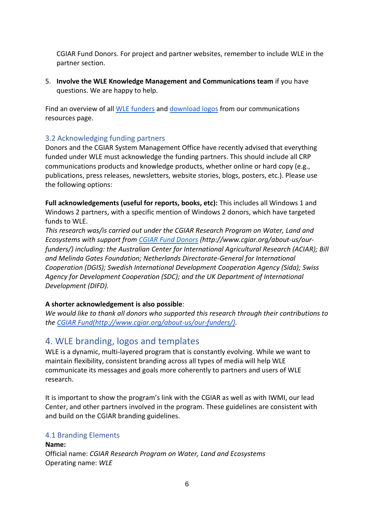CGIAR Fund Donors. For project and partner websites, remember to include WLE in the partner section.

5. **Involve the WLE Knowledge Management and Communications team** if you have questions. We are happy to help.

Find an overview of all [WLE funders](https://wle.cgiar.org/wle-donor-partners) and [download logos](https://wle.cgiar.org/communications-resources) from our communications resources page.

# 3.2 Acknowledging funding partners

Donors and the CGIAR System Management Office have recently advised that everything funded under WLE must acknowledge the funding partners. This should include all CRP communications products and knowledge products, whether online or hard copy (e.g., publications, press releases, newsletters, website stories, blogs, posters, etc.). Please use the following options:

**Full acknowledgements (useful for reports, books, etc):** This includes all Windows 1 and Windows 2 partners, with a specific mention of Windows 2 donors, which have targeted funds to WLE.

*This research was/is carried out under the CGIAR Research Program on Water, Land and Ecosystems with support from [CGIAR Fund Donors](http://www.cgiar.org/about-us/our-funders/) (http://www.cgiar.org/about-us/ourfunders/) including: the Australian Center for International Agricultural Research (ACIAR); Bill and Melinda Gates Foundation; Netherlands Directorate-General for International Cooperation (DGIS); Swedish International Development Cooperation Agency (Sida); Swiss Agency for Development Cooperation (SDC); and the UK Department of International Development (DIFD).*

#### **A shorter acknowledgement is also possible**:

*We would like to thank all donors who supported this research through their contributions to the [CGIAR Fund\(](http://www.cgiar.org/about-us/our-funders/)http://www.cgiar.org/about-us/our-funders/).*

# 4. WLE branding, logos and templates

WLE is a dynamic, multi-layered program that is constantly evolving. While we want to maintain flexibility, consistent branding across all types of media will help WLE communicate its messages and goals more coherently to partners and users of WLE research.

It is important to show the program's link with the CGIAR as well as with IWMI, our lead Center, and other partners involved in the program. These guidelines are consistent with and build on the CGIAR branding guidelines.

# 4.1 Branding Elements

#### **Name:** Official name: *CGIAR Research Program on Water, Land and Ecosystems* Operating name: *WLE*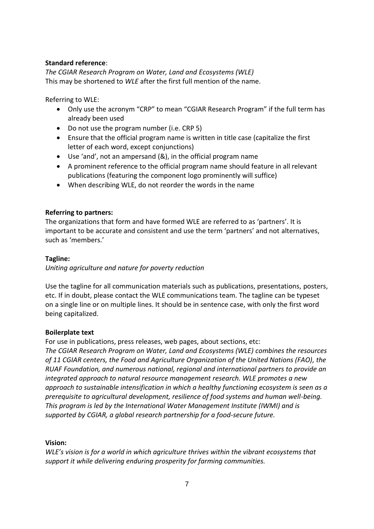#### **Standard reference**:

*The CGIAR Research Program on Water, Land and Ecosystems (WLE)* This may be shortened to *WLE* after the first full mention of the name.

Referring to WLE:

- Only use the acronym "CRP" to mean "CGIAR Research Program" if the full term has already been used
- Do not use the program number (i.e. CRP 5)
- Ensure that the official program name is written in title case (capitalize the first letter of each word, except conjunctions)
- Use 'and', not an ampersand (&), in the official program name
- A prominent reference to the official program name should feature in all relevant publications (featuring the component logo prominently will suffice)
- When describing WLE, do not reorder the words in the name

#### **Referring to partners:**

The organizations that form and have formed WLE are referred to as 'partners'. It is important to be accurate and consistent and use the term 'partners' and not alternatives, such as 'members.'

#### **Tagline:**

*Uniting agriculture and nature for poverty reduction*

Use the tagline for all communication materials such as publications, presentations, posters, etc. If in doubt, please contact the WLE communications team. The tagline can be typeset on a single line or on multiple lines. It should be in sentence case, with only the first word being capitalized.

#### **Boilerplate text**

For use in publications, press releases, web pages, about sections, etc:

*The CGIAR Research Program on Water, Land and Ecosystems (WLE) combines the resources of 11 CGIAR centers, the Food and Agriculture Organization of the United Nations (FAO), the RUAF Foundation, and numerous national, regional and international partners to provide an integrated approach to natural resource management research. WLE promotes a new approach to sustainable intensification in which a healthy functioning ecosystem is seen as a prerequisite to agricultural development, resilience of food systems and human well-being. This program is led by the International Water Management Institute (IWMI) and is supported by CGIAR, a global research partnership for a food-secure future.*

# **Vision:**

*WLE's vision is for a world in which agriculture thrives within the vibrant ecosystems that support it while delivering enduring prosperity for farming communities.*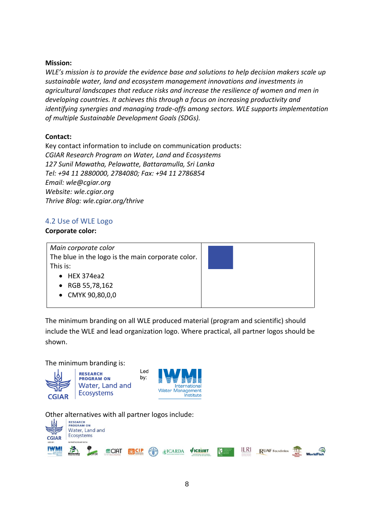#### **Mission:**

*WLE's mission is to provide the evidence base and solutions to help decision makers scale up sustainable water, land and ecosystem management innovations and investments in agricultural landscapes that reduce risks and increase the resilience of women and men in developing countries. It achieves this through a focus on increasing productivity and identifying synergies and managing trade-offs among sectors. WLE supports implementation of multiple Sustainable Development Goals (SDGs).*

# **Contact:**

Key contact information to include on communication products: *CGIAR Research Program on Water, Land and Ecosystems 127 Sunil Mawatha, Pelawatte, Battaramulla, Sri Lanka Tel: +94 11 2880000, 2784080; Fax: +94 11 2786854 Email: wle@cgiar.org Website: wle.cgiar.org Thrive Blog: wle.cgiar.org/thrive*

# 4.2 Use of WLE Logo

#### **Corporate color:**

*Main corporate color* The blue in the logo is the main corporate color. This is:

- $\bullet$  HEX 374ea2
- RGB 55,78,162
- CMYK 90,80,0,0



The minimum branding on all WLE produced material (program and scientific) should include the WLE and lead organization logo. Where practical, all partner logos should be shown.

The minimum branding is:



**RESEARCH PROGRAM ON** Water, Land and **Ecosystems** 



Other alternatives with all partner logos include:

Led

by:

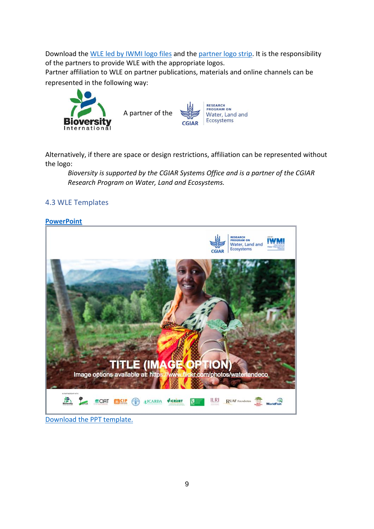Download the [WLE led by IWMI logo files](https://www.dropbox.com/sh/pzrb93469la5hg7/AABz7kgqEL8icmc5FKQXTovXa?dl=0) and the [partner logo strip.](https://www.dropbox.com/sh/wqn8mcqy5ai4wwr/AAB4q2LUuWUVi-eH8-VfdQtfa?dl=0) It is the responsibility of the partners to provide WLE with the appropriate logos.

Partner affiliation to WLE on partner publications, materials and online channels can be represented in the following way:



Alternatively, if there are space or design restrictions, affiliation can be represented without the logo:

*Bioversity is supported by the CGIAR Systems Office and is a partner of the CGIAR Research Program on Water, Land and Ecosystems.*

# 4.3 WLE Templates

#### **[PowerPoint](https://www.dropbox.com/s/zi57k8mcgqttepq/WLE%20-%20PTT%20Template%202017.potx?dl=0)**



#### [Download the PPT template.](https://www.dropbox.com/s/zi57k8mcgqttepq/WLE%20-%20PTT%20Template%202017.potx?dl=0)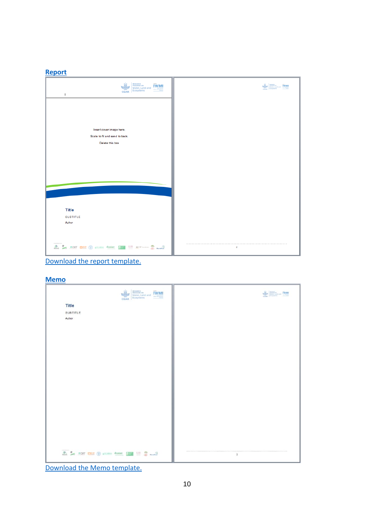#### **[Report](https://www.dropbox.com/s/yvk8mf5m863ayb5/WLE%20-%20Report%202017.dotx?dl=0)**



[Download the report template.](https://www.dropbox.com/s/yvk8mf5m863ayb5/WLE%20-%20Report%202017.dotx?dl=0)

**[Memo](https://www.dropbox.com/s/ln6n55e784otjbd/WLE%20-%20Memo%202017.dotx?dl=0)**

| <b>RESEARCH</b><br>Water, Land and<br><b>IWM</b><br>Econystems<br>CGIAR                                                                                                                                                                                                                                                                      | <b>WANTED TWARE</b> |
|----------------------------------------------------------------------------------------------------------------------------------------------------------------------------------------------------------------------------------------------------------------------------------------------------------------------------------------------|---------------------|
| <b>Title</b>                                                                                                                                                                                                                                                                                                                                 |                     |
| SUBTITLE                                                                                                                                                                                                                                                                                                                                     |                     |
| Author                                                                                                                                                                                                                                                                                                                                       |                     |
|                                                                                                                                                                                                                                                                                                                                              |                     |
|                                                                                                                                                                                                                                                                                                                                              |                     |
|                                                                                                                                                                                                                                                                                                                                              |                     |
|                                                                                                                                                                                                                                                                                                                                              |                     |
|                                                                                                                                                                                                                                                                                                                                              |                     |
|                                                                                                                                                                                                                                                                                                                                              |                     |
|                                                                                                                                                                                                                                                                                                                                              |                     |
|                                                                                                                                                                                                                                                                                                                                              |                     |
|                                                                                                                                                                                                                                                                                                                                              |                     |
|                                                                                                                                                                                                                                                                                                                                              |                     |
|                                                                                                                                                                                                                                                                                                                                              |                     |
|                                                                                                                                                                                                                                                                                                                                              |                     |
|                                                                                                                                                                                                                                                                                                                                              |                     |
|                                                                                                                                                                                                                                                                                                                                              |                     |
|                                                                                                                                                                                                                                                                                                                                              |                     |
|                                                                                                                                                                                                                                                                                                                                              |                     |
|                                                                                                                                                                                                                                                                                                                                              |                     |
|                                                                                                                                                                                                                                                                                                                                              |                     |
|                                                                                                                                                                                                                                                                                                                                              |                     |
| $\begin{picture}(100,10) \put(0,0){\line(1,0){100}} \put(15,0){\line(1,0){100}} \put(15,0){\line(1,0){100}} \put(15,0){\line(1,0){100}} \put(15,0){\line(1,0){100}} \put(15,0){\line(1,0){100}} \put(15,0){\line(1,0){100}} \put(15,0){\line(1,0){100}} \put(15,0){\line(1,0){100}} \put(15,0){\line(1,0){100}} \put(15,0){\line(1,0){100}}$ | $\overline{2}$      |
|                                                                                                                                                                                                                                                                                                                                              |                     |

[Download the Memo template.](https://www.dropbox.com/s/ln6n55e784otjbd/WLE%20-%20Memo%202017.dotx?dl=0)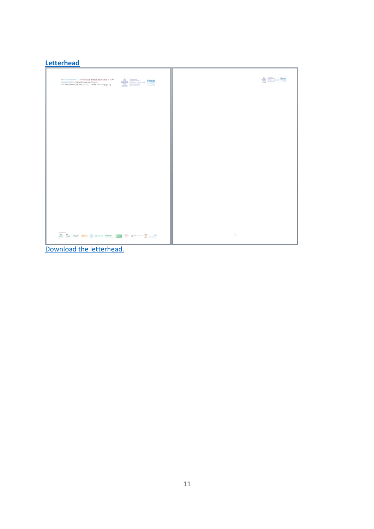# **[Letterhead](https://www.dropbox.com/s/hpso8jehm86bh26/WLE%20Letterhead%20A4%20-2017.dotx?dl=0)**

| INVALUE ACCOUNTING: 127 Sunil Magazine, Exhaustic, Batterscale, Sri Lanka<br><b>REGARDS</b><br>PRESIDENT SIX<br>CGIAR DESIGNERS AND TWIN<br>MALING ADDRESS: PD Box 2075, Colombo, Sri Lanka<br>Tel: +34 11 2880000, 2784080; Fax: +34 11 278854; Email: wie@cgian.org | WM EXECUTIVE IN THE |
|-----------------------------------------------------------------------------------------------------------------------------------------------------------------------------------------------------------------------------------------------------------------------|---------------------|
|                                                                                                                                                                                                                                                                       |                     |
|                                                                                                                                                                                                                                                                       |                     |
|                                                                                                                                                                                                                                                                       |                     |
|                                                                                                                                                                                                                                                                       |                     |
|                                                                                                                                                                                                                                                                       |                     |
|                                                                                                                                                                                                                                                                       |                     |
| A L car mer O come desire E 1181 Research 2 and                                                                                                                                                                                                                       | $\mathcal{Z}$       |

[Download the letterhead.](https://www.dropbox.com/s/hpso8jehm86bh26/WLE%20Letterhead%20A4%20-2017.dotx?dl=0)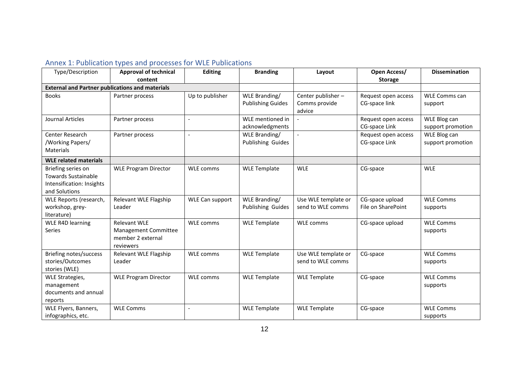# Annex 1: Publication types and processes for WLE Publications

| Type/Description                                                                               | <b>Approval of technical</b>                           | <b>Editing</b>           | <b>Branding</b>          | Layout                  | Open Access/        | <b>Dissemination</b> |
|------------------------------------------------------------------------------------------------|--------------------------------------------------------|--------------------------|--------------------------|-------------------------|---------------------|----------------------|
|                                                                                                | content                                                |                          |                          |                         | <b>Storage</b>      |                      |
| <b>External and Partner publications and materials</b>                                         |                                                        |                          |                          |                         |                     |                      |
| <b>Books</b>                                                                                   | Partner process                                        | Up to publisher          | WLE Branding/            | Center publisher -      | Request open access | <b>WLE Comms can</b> |
|                                                                                                |                                                        |                          | <b>Publishing Guides</b> | Comms provide<br>advice | CG-space link       | support              |
| Journal Articles                                                                               | Partner process                                        | $\overline{a}$           | WLE mentioned in         |                         | Request open access | WLE Blog can         |
|                                                                                                |                                                        |                          | acknowledgments          |                         | CG-space Link       | support promotion    |
| Center Research                                                                                | Partner process                                        | $\overline{a}$           | WLE Branding/            | $\overline{a}$          | Request open access | WLE Blog can         |
| /Working Papers/                                                                               |                                                        |                          | Publishing Guides        |                         | CG-space Link       | support promotion    |
| <b>Materials</b>                                                                               |                                                        |                          |                          |                         |                     |                      |
| <b>WLE related materials</b>                                                                   |                                                        |                          |                          |                         |                     |                      |
| Briefing series on<br><b>Towards Sustainable</b><br>Intensification: Insights<br>and Solutions | <b>WLE Program Director</b>                            | <b>WLE comms</b>         | <b>WLE Template</b>      | <b>WLE</b>              | CG-space            | <b>WLE</b>           |
| WLE Reports (research,                                                                         | Relevant WLE Flagship                                  | <b>WLE Can support</b>   | WLE Branding/            | Use WLE template or     | CG-space upload     | <b>WLE Comms</b>     |
| workshop, grey-                                                                                | Leader                                                 |                          | Publishing Guides        | send to WLE comms       | File on SharePoint  | supports             |
| literature)                                                                                    |                                                        |                          |                          |                         |                     |                      |
| <b>WLE R4D learning</b>                                                                        | <b>Relevant WLE</b>                                    | <b>WLE comms</b>         | <b>WLE Template</b>      | <b>WLE comms</b>        | CG-space upload     | <b>WLE Comms</b>     |
| Series                                                                                         | Management Committee<br>member 2 external<br>reviewers |                          |                          |                         |                     | supports             |
| Briefing notes/success                                                                         | Relevant WLE Flagship                                  | <b>WLE comms</b>         | <b>WLE Template</b>      | Use WLE template or     | CG-space            | <b>WLE Comms</b>     |
| stories/Outcomes                                                                               | Leader                                                 |                          |                          | send to WLE comms       |                     | supports             |
| stories (WLE)                                                                                  |                                                        |                          |                          |                         |                     |                      |
| WLE Strategies,                                                                                | <b>WLE Program Director</b>                            | <b>WLE</b> comms         | <b>WLE Template</b>      | <b>WLE Template</b>     | CG-space            | <b>WLE Comms</b>     |
| management                                                                                     |                                                        |                          |                          |                         |                     | supports             |
| documents and annual                                                                           |                                                        |                          |                          |                         |                     |                      |
| reports                                                                                        |                                                        |                          |                          |                         |                     |                      |
| WLE Flyers, Banners,                                                                           | <b>WLE Comms</b>                                       | $\overline{\phantom{a}}$ | <b>WLE Template</b>      | <b>WLE Template</b>     | CG-space            | <b>WLE Comms</b>     |
| infographics, etc.                                                                             |                                                        |                          |                          |                         |                     | supports             |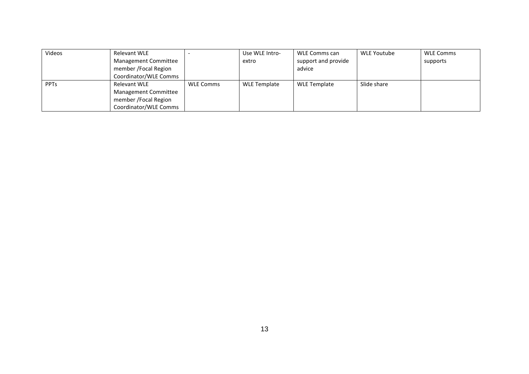| Videos      | Relevant WLE                |                  | Use WLE Intro- | WLE Comms can       | WLE Youtube | <b>WLE Comms</b> |
|-------------|-----------------------------|------------------|----------------|---------------------|-------------|------------------|
|             | <b>Management Committee</b> |                  | extro          | support and provide |             | supports         |
|             | member / Focal Region       |                  |                | advice              |             |                  |
|             | Coordinator/WLE Comms       |                  |                |                     |             |                  |
| <b>PPTs</b> | Relevant WLE                | <b>WLE Comms</b> | WLE Template   | <b>WLE Template</b> | Slide share |                  |
|             | Management Committee        |                  |                |                     |             |                  |
|             | member / Focal Region       |                  |                |                     |             |                  |
|             | Coordinator/WLE Comms       |                  |                |                     |             |                  |